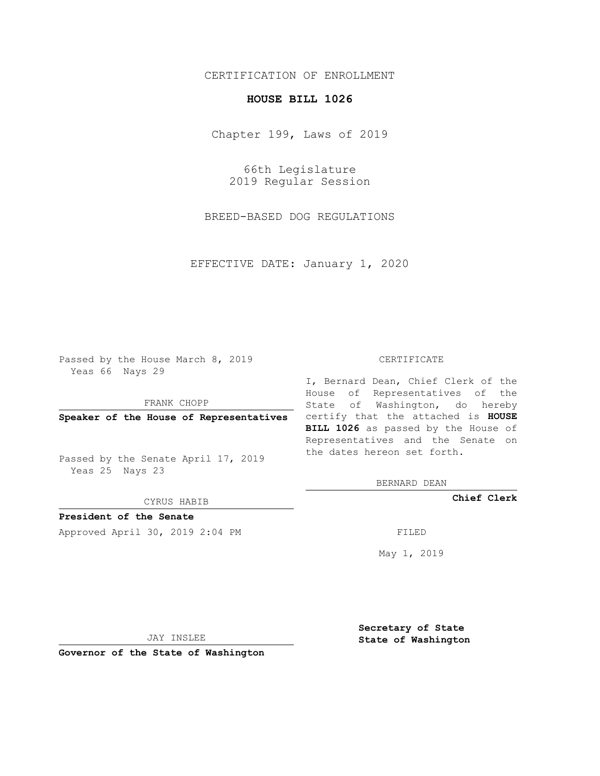## CERTIFICATION OF ENROLLMENT

## **HOUSE BILL 1026**

Chapter 199, Laws of 2019

66th Legislature 2019 Regular Session

BREED-BASED DOG REGULATIONS

EFFECTIVE DATE: January 1, 2020

Passed by the House March 8, 2019 Yeas 66 Nays 29

FRANK CHOPP

Passed by the Senate April 17, 2019 Yeas 25 Nays 23

CYRUS HABIB

**President of the Senate**

Approved April 30, 2019 2:04 PM FILED

## CERTIFICATE

**Speaker of the House of Representatives** certify that the attached is **HOUSE** I, Bernard Dean, Chief Clerk of the House of Representatives of the State of Washington, do hereby **BILL 1026** as passed by the House of Representatives and the Senate on the dates hereon set forth.

BERNARD DEAN

**Chief Clerk**

May 1, 2019

JAY INSLEE

**Governor of the State of Washington**

**Secretary of State State of Washington**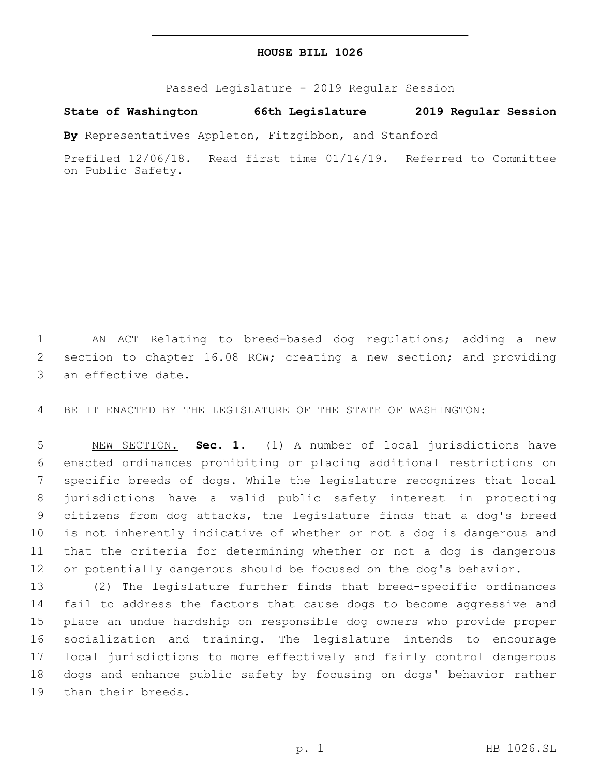## **HOUSE BILL 1026**

Passed Legislature - 2019 Regular Session

**State of Washington 66th Legislature 2019 Regular Session**

**By** Representatives Appleton, Fitzgibbon, and Stanford

Prefiled 12/06/18. Read first time 01/14/19. Referred to Committee on Public Safety.

 AN ACT Relating to breed-based dog regulations; adding a new section to chapter 16.08 RCW; creating a new section; and providing 3 an effective date.

BE IT ENACTED BY THE LEGISLATURE OF THE STATE OF WASHINGTON:

 NEW SECTION. **Sec. 1.** (1) A number of local jurisdictions have enacted ordinances prohibiting or placing additional restrictions on specific breeds of dogs. While the legislature recognizes that local jurisdictions have a valid public safety interest in protecting citizens from dog attacks, the legislature finds that a dog's breed is not inherently indicative of whether or not a dog is dangerous and that the criteria for determining whether or not a dog is dangerous 12 or potentially dangerous should be focused on the dog's behavior.

 (2) The legislature further finds that breed-specific ordinances fail to address the factors that cause dogs to become aggressive and place an undue hardship on responsible dog owners who provide proper socialization and training. The legislature intends to encourage local jurisdictions to more effectively and fairly control dangerous dogs and enhance public safety by focusing on dogs' behavior rather 19 than their breeds.